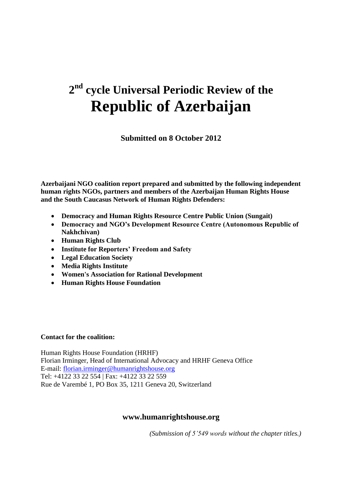# **2 nd cycle Universal Periodic Review of the Republic of Azerbaijan**

**Submitted on 8 October 2012**

**Azerbaijani NGO coalition report prepared and submitted by the following independent human rights NGOs, partners and members of the Azerbaijan Human Rights House and the South Caucasus Network of Human Rights Defenders:**

- **Democracy and Human Rights Resource Centre Public Union (Sungait)**
- **Democracy and NGO's Development Resource Centre (Autonomous Republic of Nakhchivan)**
- **Human Rights Club**
- **Institute for Reporters' Freedom and Safety**
- **Legal Education Society**
- **Media Rights Institute**
- **Women's Association for Rational Development**
- **Human Rights House Foundation**

#### **Contact for the coalition:**

Human Rights House Foundation (HRHF) Florian Irminger, Head of International Advocacy and HRHF Geneva Office E-mail: [florian.irminger@humanrightshouse.org](mailto:florian.irminger@humanrightshouse.org) Tel: +4122 33 22 554 | Fax: +4122 33 22 559 Rue de Varembé 1, PO Box 35, 1211 Geneva 20, Switzerland

#### **www.humanrightshouse.org**

*(Submission of 5'549 words without the chapter titles.)*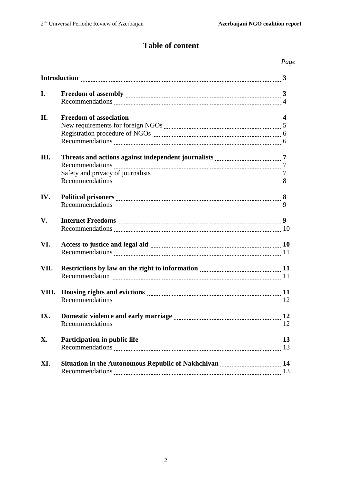# **Table of content**

## *Page*

| I.   |                                                                                                                                                                                                                                     |    |
|------|-------------------------------------------------------------------------------------------------------------------------------------------------------------------------------------------------------------------------------------|----|
|      |                                                                                                                                                                                                                                     |    |
| II.  | Freedom of association <i>manual manual manual manual manual manual</i> 4                                                                                                                                                           |    |
|      |                                                                                                                                                                                                                                     |    |
|      |                                                                                                                                                                                                                                     |    |
|      |                                                                                                                                                                                                                                     |    |
| Ш.   |                                                                                                                                                                                                                                     |    |
|      |                                                                                                                                                                                                                                     |    |
|      |                                                                                                                                                                                                                                     |    |
|      |                                                                                                                                                                                                                                     |    |
| IV.  | Political prisoners <b>manually contained</b> and the set of the set of the set of the set of the set of the set of the set of the set of the set of the set of the set of the set of the set of the set of the set of the set of t |    |
|      |                                                                                                                                                                                                                                     |    |
| V.   |                                                                                                                                                                                                                                     |    |
|      |                                                                                                                                                                                                                                     |    |
| VI.  |                                                                                                                                                                                                                                     |    |
|      |                                                                                                                                                                                                                                     |    |
| VII. | Restrictions by law on the right to information <i>manumumumumumumum</i> 11                                                                                                                                                         |    |
|      |                                                                                                                                                                                                                                     |    |
|      |                                                                                                                                                                                                                                     |    |
|      |                                                                                                                                                                                                                                     |    |
| IX.  |                                                                                                                                                                                                                                     |    |
|      |                                                                                                                                                                                                                                     |    |
| X.   |                                                                                                                                                                                                                                     |    |
|      |                                                                                                                                                                                                                                     | 13 |
| XI.  |                                                                                                                                                                                                                                     |    |
|      |                                                                                                                                                                                                                                     | 13 |
|      |                                                                                                                                                                                                                                     |    |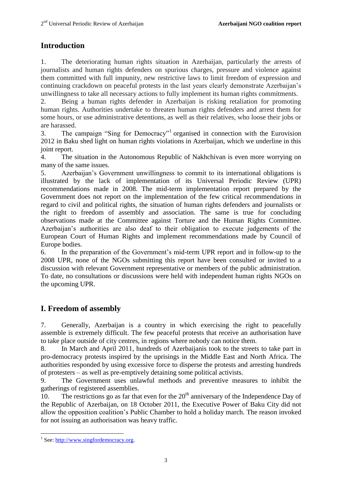# **Introduction**

1. The deteriorating human rights situation in Azerbaijan, particularly the arrests of journalists and human rights defenders on spurious charges, pressure and violence against them committed with full impunity, new restrictive laws to limit freedom of expression and continuing crackdown on peaceful protests in the last years clearly demonstrate Azerbaijan"s unwillingness to take all necessary actions to fully implement its human rights commitments.

2. Being a human rights defender in Azerbaijan is risking retaliation for promoting human rights. Authorities undertake to threaten human rights defenders and arrest them for some hours, or use administrative detentions, as well as their relatives, who loose their jobs or are harassed.

3. The campaign "Sing for Democracy"<sup>1</sup> organised in connection with the Eurovision 2012 in Baku shed light on human rights violations in Azerbaijan, which we underline in this joint report.

4. The situation in the Autonomous Republic of Nakhchivan is even more worrying on many of the same issues.

5. Azerbaijan"s Government unwillingness to commit to its international obligations is illustrated by the lack of implementation of its Universal Periodic Review (UPR) recommendations made in 2008. The mid-term implementation report prepared by the Government does not report on the implementation of the few critical recommendations in regard to civil and political rights, the situation of human rights defenders and journalists or the right to freedom of assembly and association. The same is true for concluding observations made at the Committee against Torture and the Human Rights Committee. Azerbaijan"s authorities are also deaf to their obligation to execute judgements of the European Court of Human Rights and implement recommendations made by Council of Europe bodies.

6. In the preparation of the Government"s mid-term UPR report and in follow-up to the 2008 UPR, none of the NGOs submitting this report have been consulted or invited to a discussion with relevant Government representative or members of the public administration. To date, no consultations or discussions were held with independent human rights NGOs on the upcoming UPR.

# **I. Freedom of assembly**

7. Generally, Azerbaijan is a country in which exercising the right to peacefully assemble is extremely difficult. The few peaceful protests that receive an authorisation have to take place outside of city centres, in regions where nobody can notice them.

8. In March and April 2011, hundreds of Azerbaijanis took to the streets to take part in pro-democracy protests inspired by the uprisings in the Middle East and North Africa. The authorities responded by using excessive force to disperse the protests and arresting hundreds of protesters – as well as pre-emptively detaining some political activists.

9. The Government uses unlawful methods and preventive measures to inhibit the gatherings of registered assemblies.

10. The restrictions go as far that even for the  $20<sup>th</sup>$  anniversary of the Independence Day of the Republic of Azerbaijan, on 18 October 2011, the Executive Power of Baku City did not allow the opposition coalition"s Public Chamber to hold a holiday march. The reason invoked for not issuing an authorisation was heavy traffic.

<sup>&</sup>lt;sup>1</sup> See: http://www.singfordemocracy.org.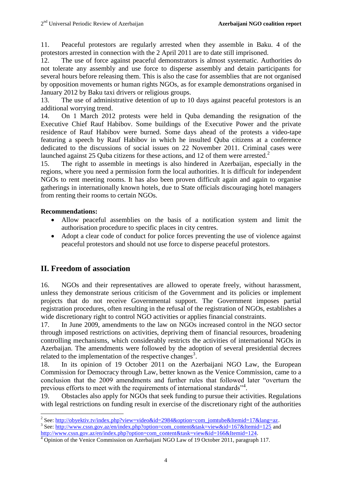11. Peaceful protestors are regularly arrested when they assemble in Baku. 4 of the protestors arrested in connection with the 2 April 2011 are to date still imprisoned.

12. The use of force against peaceful demonstrators is almost systematic. Authorities do not tolerate any assembly and use force to disperse assembly and detain participants for several hours before releasing them. This is also the case for assemblies that are not organised by opposition movements or human rights NGOs, as for example demonstrations organised in January 2012 by Baku taxi drivers or religious groups.

13. The use of administrative detention of up to 10 days against peaceful protestors is an additional worrying trend.

14. On 1 March 2012 protests were held in Quba demanding the resignation of the Executive Chief Rauf Habibov. Some buildings of the Executive Power and the private residence of Rauf Habibov were burned. Some days ahead of the protests a video-tape featuring a speech by Rauf Habibov in which he insulted Quba citizens at a conference dedicated to the discussions of social issues on 22 November 2011. Criminal cases were launched against 25 Quba citizens for these actions, and 12 of them were arrested.<sup>2</sup>

15. The right to assemble in meetings is also hindered in Azerbaijan, especially in the regions, where you need a permission form the local authorities. It is difficult for independent NGOs to rent meeting rooms. It has also been proven difficult again and again to organise gatherings in internationally known hotels, due to State officials discouraging hotel managers from renting their rooms to certain NGOs.

## **Recommendations:**

- Allow peaceful assemblies on the basis of a notification system and limit the authorisation procedure to specific places in city centres.
- Adopt a clear code of conduct for police forces preventing the use of violence against peaceful protestors and should not use force to disperse peaceful protestors.

# **II. Freedom of association**

16. NGOs and their representatives are allowed to operate freely, without harassment, unless they demonstrate serious criticism of the Government and its policies or implement projects that do not receive Governmental support. The Government imposes partial registration procedures, often resulting in the refusal of the registration of NGOs, establishes a wide discretionary right to control NGO activities or applies financial constraints.

17. In June 2009, amendments to the law on NGOs increased control in the NGO sector through imposed restrictions on activities, depriving them of financial resources, broadening controlling mechanisms, which considerably restricts the activities of international NGOs in Azerbaijan. The amendments were followed by the adoption of several presidential decrees related to the implementation of the respective changes<sup>3</sup>.

18. In its opinion of 19 October 2011 on the Azerbaijani NGO Law, the European Commission for Democracy through Law, better known as the Venice Commission, came to a conclusion that the 2009 amendments and further rules that followed later "overturn the previous efforts to meet with the requirements of international standards"<sup>4</sup>.

19. Obstacles also apply for NGOs that seek funding to pursue their activities. Regulations with legal restrictions on funding result in exercise of the discretionary right of the authorities

<sup>&</sup>lt;sup>2</sup> See: [http://obyektiv.tv/index.php?view=video&id=2984&option=com\\_jomtube&Itemid=17&lang=az.](http://obyektiv.tv/index.php?view=video&id=2984&option=com_jomtube&Itemid=17&lang=az)

<sup>&</sup>lt;sup>3</sup> See: [http://www.cssn.gov.az/en/index.php?option=com\\_content&task=view&id=167&Itemid=125](http://www.cssn.gov.az/en/index.php?option=com_content&task=view&id=167&Itemid=125) and [http://www.cssn.gov.az/en/index.php?option=com\\_content&task=view&id=166&Itemid=124.](http://www.cssn.gov.az/en/index.php?option=com_content&task=view&id=166&Itemid=124)

<sup>&</sup>lt;sup>4</sup> Opinion of the Venice Commission on Azerbaijani NGO Law of 19 October 2011, paragraph 117.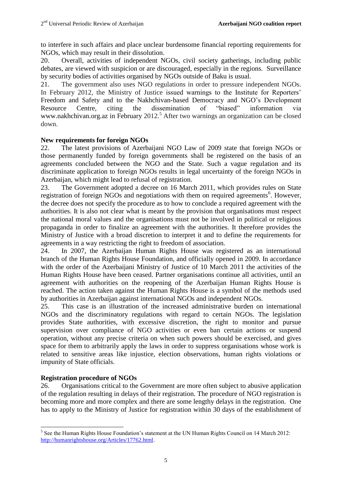to interfere in such affairs and place unclear burdensome financial reporting requirements for NGOs, which may result in their dissolution.

20. Overall, activities of independent NGOs, civil society gatherings, including public debates, are viewed with suspicion or are discouraged, especially in the regions. Surveillance by security bodies of activities organised by NGOs outside of Baku is usual.

21. The government also uses NGO regulations in order to pressure independent NGOs. In February 2012, the Ministry of Justice issued warnings to the Institute for Reporters' Freedom and Safety and to the Nakhchivan-based Democracy and NGO"s Development Resource Centre, citing the dissemination of "biased" information via www.nakhchivan.org.az in February 2012.<sup>5</sup> After two warnings an organization can be closed down.

#### **New requirements for foreign NGOs**

22. The latest provisions of Azerbaijani NGO Law of 2009 state that foreign NGOs or those permanently funded by foreign governments shall be registered on the basis of an agreements concluded between the NGO and the State. Such a vague regulation and its discriminate application to foreign NGOs results in legal uncertainty of the foreign NGOs in Azerbaijan, which might lead to refusal of registration.

23. The Government adopted a decree on 16 March 2011, which provides rules on State registration of foreign NGOs and negotiations with them on required agreements<sup>6</sup>. However, the decree does not specify the procedure as to how to conclude a required agreement with the authorities. It is also not clear what is meant by the provision that organisations must respect the national moral values and the organisations must not be involved in political or religious propaganda in order to finalize an agreement with the authorities. It therefore provides the Ministry of Justice with a broad discretion to interpret it and to define the requirements for agreements in a way restricting the right to freedom of association.

24. In 2007, the Azerbaijan Human Rights House was registered as an international branch of the Human Rights House Foundation, and officially opened in 2009. In accordance with the order of the Azerbaijani Ministry of Justice of 10 March 2011 the activities of the Human Rights House have been ceased. Partner organisations continue all activities, until an agreement with authorities on the reopening of the Azerbaijan Human Rights House is reached. The action taken against the Human Rights House is a symbol of the methods used by authorities in Azerbaijan against international NGOs and independent NGOs.

25. This case is an illustration of the increased administrative burden on international NGOs and the discriminatory regulations with regard to certain NGOs. The legislation provides State authorities, with excessive discretion, the right to monitor and pursue supervision over compliance of NGO activities or even ban certain actions or suspend operation, without any precise criteria on when such powers should be exercised, and gives space for them to arbitrarily apply the laws in order to suppress organisations whose work is related to sensitive areas like injustice, election observations, human rights violations or impunity of State officials.

#### **Registration procedure of NGOs**

26. Organisations critical to the Government are more often subject to abusive application of the regulation resulting in delays of their registration. The procedure of NGO registration is becoming more and more complex and there are some lengthy delays in the registration. One has to apply to the Ministry of Justice for registration within 30 days of the establishment of

 $\overline{\phantom{a}}$  $<sup>5</sup>$  See the Human Rights House Foundation's statement at the UN Human Rights Council on 14 March 2012:</sup> [http://humanrightshouse.org/Articles/17762.html.](http://humanrightshouse.org/Articles/17762.html)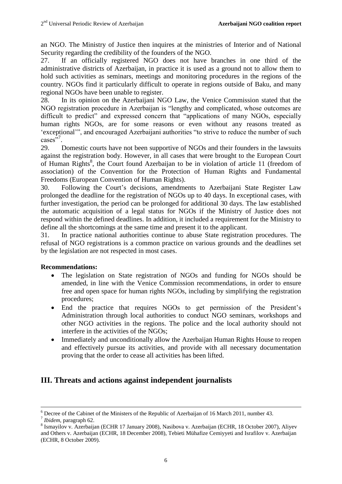an NGO. The Ministry of Justice then inquires at the ministries of Interior and of National Security regarding the credibility of the founders of the NGO.

27. If an officially registered NGO does not have branches in one third of the administrative districts of Azerbaijan, in practice it is used as a ground not to allow them to hold such activities as seminars, meetings and monitoring procedures in the regions of the country. NGOs find it particularly difficult to operate in regions outside of Baku, and many regional NGOs have been unable to register.

28. In its opinion on the Azerbaijani NGO Law, the Venice Commission stated that the NGO registration procedure in Azerbaijan is "lengthy and complicated, whose outcomes are difficult to predict" and expressed concern that "applications of many NGOs, especially human rights NGOs, are for some reasons or even without any reasons treated as 'exceptional'", and encouraged Azerbaijani authorities "to strive to reduce the number of such cases"<sup>7</sup>.

29. Domestic courts have not been supportive of NGOs and their founders in the lawsuits against the registration body. However, in all cases that were brought to the European Court of Human Rights<sup>8</sup>, the Court found Azerbaijan to be in violation of article 11 (freedom of association) of the Convention for the Protection of Human Rights and Fundamental Freedoms (European Convention of Human Rights).

30. Following the Court"s decisions, amendments to Azerbaijani State Register Law prolonged the deadline for the registration of NGOs up to 40 days. In exceptional cases, with further investigation, the period can be prolonged for additional 30 days. The law established the automatic acquisition of a legal status for NGOs if the Ministry of Justice does not respond within the defined deadlines. In addition, it included a requirement for the Ministry to define all the shortcomings at the same time and present it to the applicant.

31. In practice national authorities continue to abuse State registration procedures. The refusal of NGO registrations is a common practice on various grounds and the deadlines set by the legislation are not respected in most cases.

#### **Recommendations:**

- The legislation on State registration of NGOs and funding for NGOs should be amended, in line with the Venice Commission recommendations, in order to ensure free and open space for human rights NGOs, including by simplifying the registration procedures;
- End the practice that requires NGOs to get permission of the President's Administration through local authorities to conduct NGO seminars, workshops and other NGO activities in the regions. The police and the local authority should not interfere in the activities of the NGOs;
- Immediately and unconditionally allow the Azerbaijan Human Rights House to reopen and effectively pursue its activities, and provide with all necessary documentation proving that the order to cease all activities has been lifted.

# **III. Threats and actions against independent journalists**

 $\overline{\phantom{a}}$ <sup>6</sup> Decree of the Cabinet of the Ministers of the Republic of Azerbaijan of 16 March 2011, number 43.

<sup>7</sup> *Ibidem*, paragraph 62.

<sup>&</sup>lt;sup>8</sup> Ismayilov v. Azerbaijan (ECHR 17 January 2008), Nasibova v. Azerbaijan (ECHR, 18 October 2007), Aliyev and Others v. Azerbaijan (ECHR, 18 December 2008), Tebieti Mühafize Cemiyyeti and Israfilov v. Azerbaijan (ECHR, 8 October 2009).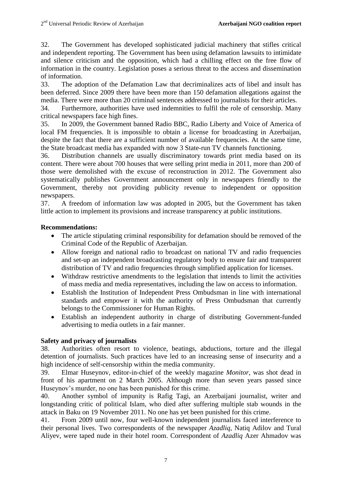32. The Government has developed sophisticated judicial machinery that stifles critical and independent reporting. The Government has been using defamation lawsuits to intimidate and silence criticism and the opposition, which had a chilling effect on the free flow of information in the country. Legislation poses a serious threat to the access and dissemination of information.

33. The adoption of the Defamation Law that decriminalizes acts of libel and insult has been deferred. Since 2009 there have been more than 150 defamation allegations against the media. There were more than 20 criminal sentences addressed to journalists for their articles.

34. Furthermore, authorities have used indemnities to fulfil the role of censorship. Many critical newspapers face high fines.

35. In 2009, the Government banned Radio BBC, Radio Liberty and Voice of America of local FM frequencies. It is impossible to obtain a license for broadcasting in Azerbaijan, despite the fact that there are a sufficient number of available frequencies. At the same time, the State broadcast media has expanded with now 3 State-run TV channels functioning.

36. Distribution channels are usually discriminatory towards print media based on its content. There were about 700 houses that were selling print media in 2011, more than 200 of those were demolished with the excuse of reconstruction in 2012. The Government also systematically publishes Government announcement only in newspapers friendly to the Government, thereby not providing publicity revenue to independent or opposition newspapers.

37. A freedom of information law was adopted in 2005, but the Government has taken little action to implement its provisions and increase transparency at public institutions.

## **Recommendations:**

- The article stipulating criminal responsibility for defamation should be removed of the Criminal Code of the Republic of Azerbaijan.
- Allow foreign and national radio to broadcast on national TV and radio frequencies and set-up an independent broadcasting regulatory body to ensure fair and transparent distribution of TV and radio frequencies through simplified application for licenses.
- Withdraw restrictive amendments to the legislation that intends to limit the activities of mass media and media representatives, including the law on access to information.
- Establish the Institution of Independent Press Ombudsman in line with international standards and empower it with the authority of Press Ombudsman that currently belongs to the Commissioner for Human Rights.
- Establish an independent authority in charge of distributing Government-funded advertising to media outlets in a fair manner.

## **Safety and privacy of journalists**

38. Authorities often resort to violence, beatings, abductions, torture and the illegal detention of journalists. Such practices have led to an increasing sense of insecurity and a high incidence of self-censorship within the media community.

39. Elmar Huseynov, editor-in-chief of the weekly magazine *Monitor*, was shot dead in front of his apartment on 2 March 2005. Although more than seven years passed since Huseynov's murder, no one has been punished for this crime.

40. Another symbol of impunity is Rafig Tagi, an Azerbaijani journalist, writer and longstanding critic of political Islam, who died after suffering multiple stab wounds in the attack in Baku on 19 November 2011. No one has yet been punished for this crime.

41. From 2009 until now, four well-known independent journalists faced interference to their personal lives. Two correspondents of the newspaper *Azadliq*, Natiq Adilov and Tural Aliyev, were taped nude in their hotel room. Correspondent of *Azadliq* Azer Ahmadov was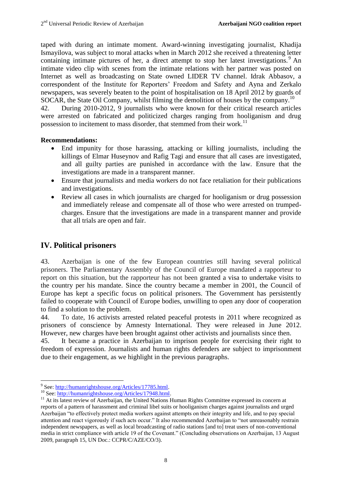taped with during an intimate moment. Award-winning investigating journalist, Khadija Ismayilova, was subject to moral attacks when in March 2012 she received a threatening letter containing intimate pictures of her, a direct attempt to stop her latest investigations.<sup>9</sup> An intimate video clip with scenes from the intimate relations with her partner was posted on Internet as well as broadcasting on State owned LIDER TV channel. Idrak Abbasov, a correspondent of the Institute for Reporters" Freedom and Safety and Ayna and Zerkalo newspapers, was severely beaten to the point of hospitalisation on 18 April 2012 by guards of SOCAR, the State Oil Company, whilst filming the demolition of houses by the company.<sup>10</sup>

42. During 2010-2012, 9 journalists who were known for their critical research articles were arrested on fabricated and politicized charges ranging from hooliganism and drug possession to incitement to mass disorder, that stemmed from their work.<sup>11</sup>

#### **Recommendations:**

- End impunity for those harassing, attacking or killing journalists, including the killings of Elmar Huseynov and Rafig Tagi and ensure that all cases are investigated, and all guilty parties are punished in accordance with the law. Ensure that the investigations are made in a transparent manner.
- Ensure that journalists and media workers do not face retaliation for their publications and investigations.
- Review all cases in which journalists are charged for hooliganism or drug possession and immediately release and compensate all of those who were arrested on trumpedcharges. Ensure that the investigations are made in a transparent manner and provide that all trials are open and fair.

# **IV. Political prisoners**

43. Azerbaijan is one of the few European countries still having several political prisoners. The Parliamentary Assembly of the Council of Europe mandated a rapporteur to report on this situation, but the rapporteur has not been granted a visa to undertake visits to the country per his mandate. Since the country became a member in 2001, the Council of Europe has kept a specific focus on political prisoners. The Government has persistently failed to cooperate with Council of Europe bodies, unwilling to open any door of cooperation to find a solution to the problem.

44. To date, 16 activists arrested related peaceful protests in 2011 where recognized as prisoners of conscience by Amnesty International. They were released in June 2012. However, new charges have been brought against other activists and journalists since then.

45. It became a practice in Azerbaijan to imprison people for exercising their right to freedom of expression. Journalists and human rights defenders are subject to imprisonment due to their engagement, as we highlight in the previous paragraphs.

<sup>&</sup>lt;sup>9</sup> See: http://humanrightshouse.org/Articles/17785.html.

<sup>&</sup>lt;sup>10</sup> See[: http://humanrightshouse.org/Articles/17948.html.](http://humanrightshouse.org/Articles/17948.html)

<sup>&</sup>lt;sup>11</sup> At its latest review of Azerbaijan, the United Nations Human Rights Committee expressed its concern at reports of a pattern of harassment and criminal libel suits or hooliganism charges against journalists and urged Azerbaijan "to effectively protect media workers against attempts on their integrity and life, and to pay special attention and react vigorously if such acts occur." It also recommended Azerbaijan to "not unreasonably restrain independent newspapers, as well as local broadcasting of radio stations [and to] treat users of non-conventional media in strict compliance with article 19 of the Covenant." (Concluding observations on Azerbaijan, 13 August 2009, paragraph 15, UN Doc.: CCPR/C/AZE/CO/3).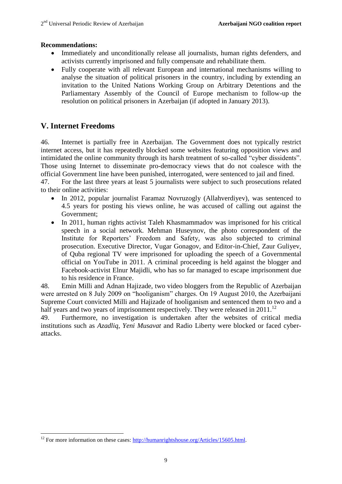#### **Recommendations:**

- Immediately and unconditionally release all journalists, human rights defenders, and activists currently imprisoned and fully compensate and rehabilitate them.
- Fully cooperate with all relevant European and international mechanisms willing to analyse the situation of political prisoners in the country, including by extending an invitation to the United Nations Working Group on Arbitrary Detentions and the Parliamentary Assembly of the Council of Europe mechanism to follow-up the resolution on political prisoners in Azerbaijan (if adopted in January 2013).

## **V. Internet Freedoms**

 $\overline{\phantom{a}}$ 

46. Internet is partially free in Azerbaijan. The Government does not typically restrict internet access, but it has repeatedly blocked some websites featuring opposition views and intimidated the online community through its harsh treatment of so-called "cyber dissidents". Those using Internet to disseminate pro-democracy views that do not coalesce with the official Government line have been punished, interrogated, were sentenced to jail and fined.

47. For the last three years at least 5 journalists were subject to such prosecutions related to their online activities:

- In 2012, popular journalist Faramaz Novruzogly (Allahverdiyev), was sentenced to 4.5 years for posting his views online, he was accused of calling out against the Government;
- In 2011, human rights activist Taleh Khasmammadov was imprisoned for his critical speech in a social network. Mehman Huseynov, the photo correspondent of the Institute for Reporters" Freedom and Safety, was also subjected to criminal prosecution. Executive Director, Vugar Gonagov, and Editor-in-Chief, Zaur Guliyev, of Quba regional TV were imprisoned for uploading the speech of a Governmental official on YouTube in 2011. A criminal proceeding is held against the blogger and Facebook-activist Elnur Majidli, who has so far managed to escape imprisonment due to his residence in France.

48. Emin Milli and Adnan Hajizade, two video bloggers from the Republic of Azerbaijan were arrested on 8 July 2009 on "hooliganism" charges. On 19 August 2010, the Azerbaijani Supreme Court convicted Milli and Hajizade of hooliganism and sentenced them to two and a half years and two years of imprisonment respectively. They were released in  $2011$ .<sup>12</sup>

49. Furthermore, no investigation is undertaken after the websites of critical media institutions such as *Azadliq*, *Yeni Musavat* and Radio Liberty were blocked or faced cyberattacks.

<sup>&</sup>lt;sup>12</sup> For more information on these cases:  $\frac{http://human rightshouse.org/Articles/15605.html}{http://human rightshouse.org/Articles/15605.html}.$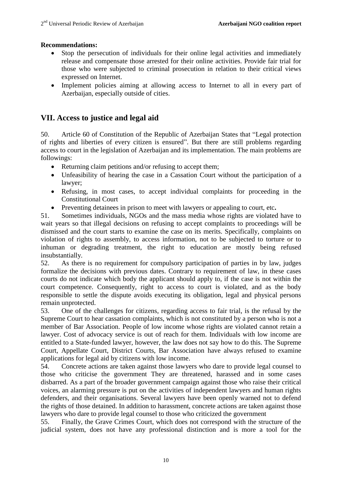#### **Recommendations:**

- Stop the persecution of individuals for their online legal activities and immediately release and compensate those arrested for their online activities. Provide fair trial for those who were subjected to criminal prosecution in relation to their critical views expressed on Internet.
- Implement policies aiming at allowing access to Internet to all in every part of Azerbaijan, especially outside of cities.

## **VII. Access to justice and legal aid**

50. Article 60 of Constitution of the Republic of Azerbaijan States that "Legal protection of rights and liberties of every citizen is ensured". But there are still problems regarding access to court in the legislation of Azerbaijan and its implementation. The main problems are followings:

- Returning claim petitions and/or refusing to accept them;
- Unfeasibility of hearing the case in a Cassation Court without the participation of a lawyer;
- Refusing, in most cases, to accept individual complaints for proceeding in the Constitutional Court
- Preventing detainees in prison to meet with lawyers or appealing to court, etc**.**

51. Sometimes individuals, NGOs and the mass media whose rights are violated have to wait years so that illegal decisions on refusing to accept complaints to proceedings will be dismissed and the court starts to examine the case on its merits. Specifically, complaints on violation of rights to assembly, to access information, not to be subjected to torture or to inhuman or degrading treatment, the right to education are mostly being refused insubstantially.

52. As there is no requirement for compulsory participation of parties in by law, judges formalize the decisions with previous dates. Contrary to requirement of law, in these cases courts do not indicate which body the applicant should apply to, if the case is not within the court competence. Consequently, right to access to court is violated, and as the body responsible to settle the dispute avoids executing its obligation, legal and physical persons remain unprotected.

53. One of the challenges for citizens, regarding access to fair trial, is the refusal by the Supreme Court to hear cassation complaints, which is not constituted by a person who is not a member of Bar Association. People of low income whose rights are violated cannot retain a lawyer. Cost of advocacy service is out of reach for them. Individuals with low income are entitled to a State-funded lawyer, however, the law does not say how to do this. The Supreme Court, Appellate Court, District Courts, Bar Association have always refused to examine applications for legal aid by citizens with low income.

54. Concrete actions are taken against those lawyers who dare to provide legal counsel to those who criticise the government They are threatened, harassed and in some cases disbarred. As a part of the broader government campaign against those who raise their critical voices, an alarming pressure is put on the activities of independent lawyers and human rights defenders, and their organisations. Several lawyers have been openly warned not to defend the rights of those detained. In addition to harassment, concrete actions are taken against those lawyers who dare to provide legal counsel to those who criticized the government

55. Finally, the Grave Crimes Court, which does not correspond with the structure of the judicial system, does not have any professional distinction and is more a tool for the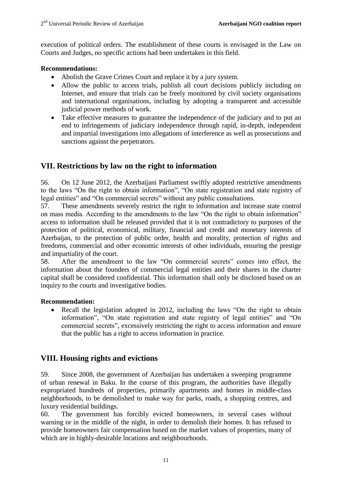execution of political orders. The establishment of these courts is envisaged in the Law on Courts and Judges, no specific actions had been undertaken in this field.

#### **Recommendations:**

- Abolish the Grave Crimes Court and replace it by a jury system.
- Allow the public to access trials, publish all court decisions publicly including on Internet, and ensure that trials can be freely monitored by civil society organisations and international organisations, including by adopting a transparent and accessible judicial power methods of work.
- Take effective measures to guarantee the independence of the judiciary and to put an end to infringements of judiciary independence through rapid, in-depth, independent and impartial investigations into allegations of interference as well as prosecutions and sanctions against the perpetrators.

## **VII. Restrictions by law on the right to information**

56. On 12 June 2012, the Azerbaijani Parliament swiftly adopted restrictive amendments to the laws "On the right to obtain information", "On state registration and state registry of legal entities" and "On commercial secrets" without any public consultations.

57. These amendments severely restrict the right to information and increase state control on mass media. According to the amendments to the law "On the right to obtain information" access to information shall be released provided that it is not contradictory to purposes of the protection of political, economical, military, financial and credit and monetary interests of Azerbaijan, to the protection of public order, health and morality, protection of rights and freedoms, commercial and other economic interests of other individuals, ensuring the prestige and impartiality of the court.

58. After the amendment to the law "On commercial secrets" comes into effect, the information about the founders of commercial legal entities and their shares in the charter capital shall be considered confidential. This information shall only be disclosed based on an inquiry to the courts and investigative bodies.

#### **Recommendation:**

• Recall the legislation adopted in 2012, including the laws "On the right to obtain information", "On state registration and state registry of legal entities" and "On commercial secrets", excessively restricting the right to access information and ensure that the public has a right to access information in practice.

## **VIII. Housing rights and evictions**

59. Since 2008, the government of Azerbaijan has undertaken a sweeping programme of urban renewal in Baku. In the course of this program, the authorities have illegally expropriated hundreds of properties, primarily apartments and homes in middle-class neighborhoods, to be demolished to make way for parks, roads, a shopping centres, and luxury residential buildings.

60. The government has forcibly evicted homeowners, in several cases without warning or in the middle of the night, in order to demolish their homes. It has refused to provide homeowners fair compensation based on the market values of properties, many of which are in highly-desirable locations and neighbourhoods.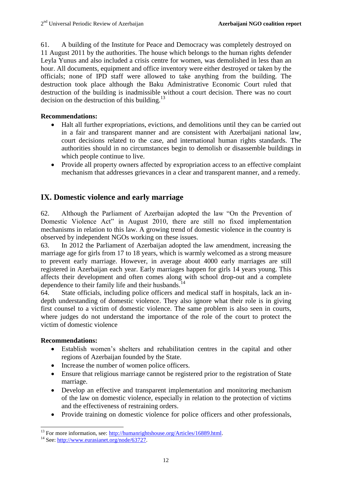61. A building of the Institute for Peace and Democracy was completely destroyed on 11 August 2011 by the authorities. The house which belongs to the human rights defender Leyla Yunus and also included a crisis centre for women, was demolished in less than an hour. All documents, equipment and office inventory were either destroyed or taken by the officials; none of IPD staff were allowed to take anything from the building. The destruction took place although the Baku Administrative Economic Court ruled that destruction of the building is inadmissible without a court decision. There was no court decision on the destruction of this building. $^{13}$ 

#### **Recommendations:**

- Halt all further expropriations, evictions, and demolitions until they can be carried out in a fair and transparent manner and are consistent with Azerbaijani national law, court decisions related to the case, and international human rights standards. The authorities should in no circumstances begin to demolish or disassemble buildings in which people continue to live.
- Provide all property owners affected by expropriation access to an effective complaint mechanism that addresses grievances in a clear and transparent manner, and a remedy.

## **IX. Domestic violence and early marriage**

62. Although the Parliament of Azerbaijan adopted the law "On the Prevention of Domestic Violence Act" in August 2010, there are still no fixed implementation mechanisms in relation to this law. A growing trend of domestic violence in the country is observed by independent NGOs working on these issues.

63. In 2012 the Parliament of Azerbaijan adopted the law amendment, increasing the marriage age for girls from 17 to 18 years, which is warmly welcomed as a strong measure to prevent early marriage. However, in average about 4000 early marriages are still registered in Azerbaijan each year. Early marriages happen for girls 14 years young. This affects their development and often comes along with school drop-out and a complete dependence to their family life and their husbands.<sup>14</sup>

64. State officials, including police officers and medical staff in hospitals, lack an indepth understanding of domestic violence. They also ignore what their role is in giving first counsel to a victim of domestic violence. The same problem is also seen in courts, where judges do not understand the importance of the role of the court to protect the victim of domestic violence

#### **Recommendations:**

 $\overline{\phantom{a}}$ 

- Establish women"s shelters and rehabilitation centres in the capital and other regions of Azerbaijan founded by the State.
- Increase the number of women police officers.
- Ensure that religious marriage cannot be registered prior to the registration of State marriage.
- Develop an effective and transparent implementation and monitoring mechanism of the law on domestic violence, especially in relation to the protection of victims and the effectiveness of restraining orders.
- Provide training on domestic violence for police officers and other professionals,

<sup>&</sup>lt;sup>13</sup> For more information, see: [http://humanrightshouse.org/Articles/16889.html.](http://humanrightshouse.org/Articles/16889.html)

<sup>&</sup>lt;sup>14</sup> See[: http://www.eurasianet.org/node/63727.](http://www.eurasianet.org/node/63727)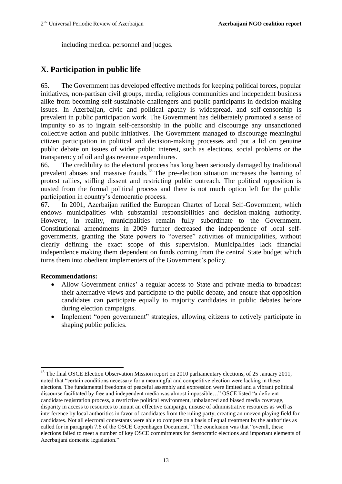including medical personnel and judges.

# **X. Participation in public life**

65. The Government has developed effective methods for keeping political forces, popular initiatives, non-partisan civil groups, media, religious communities and independent business alike from becoming self-sustainable challengers and public participants in decision-making issues. In Azerbaijan, civic and political apathy is widespread, and self-censorship is prevalent in public participation work. The Government has deliberately promoted a sense of impunity so as to ingrain self-censorship in the public and discourage any unsanctioned collective action and public initiatives. The Government managed to discourage meaningful citizen participation in political and decision-making processes and put a lid on genuine public debate on issues of wider public interest, such as elections, social problems or the transparency of oil and gas revenue expenditures.

66. The credibility to the electoral process has long been seriously damaged by traditional prevalent abuses and massive frauds.<sup>15</sup> The pre-election situation increases the banning of protest rallies, stifling dissent and restricting public outreach. The political opposition is ousted from the formal political process and there is not much option left for the public participation in country"s democratic process.

67. In 2001, Azerbaijan ratified the European Charter of Local Self-Government, which endows municipalities with substantial responsibilities and decision-making authority. However, in reality, municipalities remain fully subordinate to the Government. Constitutional amendments in 2009 further decreased the independence of local selfgovernments, granting the State powers to "oversee" activities of municipalities, without clearly defining the exact scope of this supervision. Municipalities lack financial independence making them dependent on funds coming from the central State budget which turns them into obedient implementers of the Government's policy.

#### **Recommendations:**

- Allow Government critics' a regular access to State and private media to broadcast their alternative views and participate to the public debate, and ensure that opposition candidates can participate equally to majority candidates in public debates before during election campaigns.
- Implement "open government" strategies, allowing citizens to actively participate in shaping public policies.

 $\overline{a}$ <sup>15</sup> The final OSCE Election Observation Mission report on 2010 parliamentary elections, of 25 January 2011, noted that "certain conditions necessary for a meaningful and competitive election were lacking in these elections. The fundamental freedoms of peaceful assembly and expression were limited and a vibrant political discourse facilitated by free and independent media was almost impossible…" OSCE listed "a deficient candidate registration process, a restrictive political environment, unbalanced and biased media coverage, disparity in access to resources to mount an effective campaign, misuse of administrative resources as well as interference by local authorities in favor of candidates from the ruling party, creating an uneven playing field for candidates. Not all electoral contestants were able to compete on a basis of equal treatment by the authorities as called for in paragraph 7.6 of the OSCE Copenhagen Document." The conclusion was that "overall, these elections failed to meet a number of key OSCE commitments for democratic elections and important elements of Azerbaijani domestic legislation."